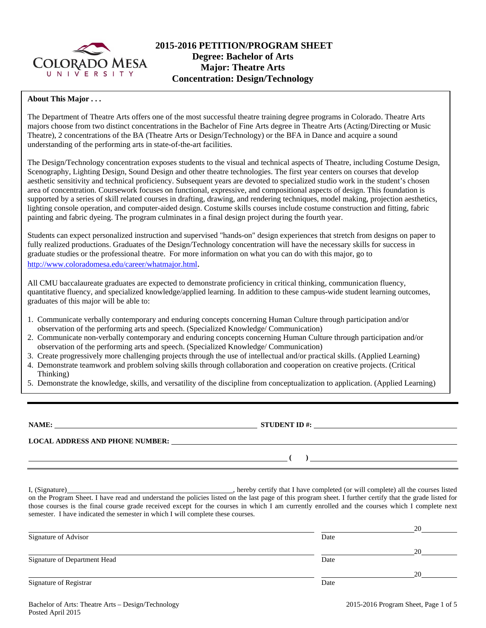

# **2015-2016 PETITION/PROGRAM SHEET Degree: Bachelor of Arts Major: Theatre Arts Concentration: Design/Technology**

## **About This Major . . .**

The Department of Theatre Arts offers one of the most successful theatre training degree programs in Colorado. Theatre Arts majors choose from two distinct concentrations in the Bachelor of Fine Arts degree in Theatre Arts (Acting/Directing or Music Theatre), 2 concentrations of the BA (Theatre Arts or Design/Technology) or the BFA in Dance and acquire a sound understanding of the performing arts in state-of-the-art facilities.

The Design/Technology concentration exposes students to the visual and technical aspects of Theatre, including Costume Design, Scenography, Lighting Design, Sound Design and other theatre technologies. The first year centers on courses that develop aesthetic sensitivity and technical proficiency. Subsequent years are devoted to specialized studio work in the student's chosen area of concentration. Coursework focuses on functional, expressive, and compositional aspects of design. This foundation is supported by a series of skill related courses in drafting, drawing, and rendering techniques, model making, projection aesthetics, lighting console operation, and computer-aided design. Costume skills courses include costume construction and fitting, fabric painting and fabric dyeing. The program culminates in a final design project during the fourth year.

Students can expect personalized instruction and supervised "hands-on" design experiences that stretch from designs on paper to fully realized productions. Graduates of the Design/Technology concentration will have the necessary skills for success in graduate studies or the professional theatre. For more information on what you can do with this major, go to http://www.coloradomesa.edu/career/whatmajor.html.

All CMU baccalaureate graduates are expected to demonstrate proficiency in critical thinking, communication fluency, quantitative fluency, and specialized knowledge/applied learning. In addition to these campus-wide student learning outcomes, graduates of this major will be able to:

- 1. Communicate verbally contemporary and enduring concepts concerning Human Culture through participation and/or observation of the performing arts and speech. (Specialized Knowledge/ Communication)
- 2. Communicate non-verbally contemporary and enduring concepts concerning Human Culture through participation and/or observation of the performing arts and speech. (Specialized Knowledge/ Communication)
- 3. Create progressively more challenging projects through the use of intellectual and/or practical skills. (Applied Learning)
- 4. Demonstrate teamwork and problem solving skills through collaboration and cooperation on creative projects. (Critical Thinking)
- 5. Demonstrate the knowledge, skills, and versatility of the discipline from conceptualization to application. (Applied Learning)

**NAME: STUDENT ID #: STUDENT ID #: STUDENT ID #: STUDENT ID #: STUDENT ID #: STUDENT ID #: STUDENT ID #: STUDENT ID #: STUDENT ID #: STUDENT ID #: STUDENT ID #: STUDENT ID #: STUDENT ID #: STUDE** 

**LOCAL ADDRESS AND PHONE NUMBER:**

 **( )** 

I, (Signature) **Solution** (Signature) **Constant Constant Constant Constant Constant Constant Constant Constant Constant Constant Constant Constant Constant Constant Constant Constant Constant Constant Constant Constant Con** on the Program Sheet. I have read and understand the policies listed on the last page of this program sheet. I further certify that the grade listed for those courses is the final course grade received except for the courses in which I am currently enrolled and the courses which I complete next semester. I have indicated the semester in which I will complete these courses.

|                              |      | 20 |
|------------------------------|------|----|
| Signature of Advisor         | Date |    |
|                              |      | 20 |
| Signature of Department Head | Date |    |
|                              |      | 20 |
| Signature of Registrar       | Date |    |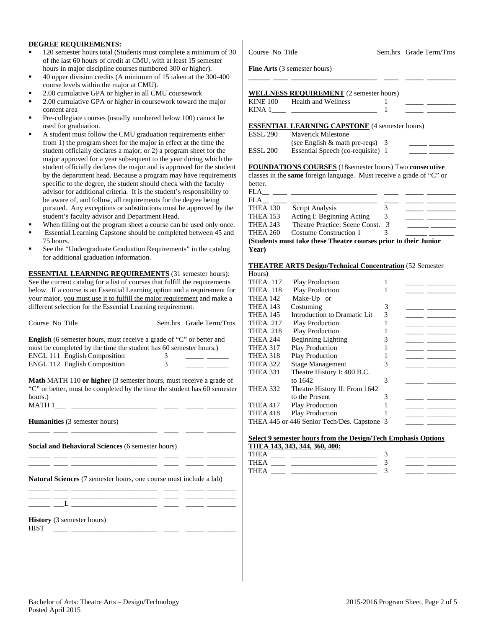## **DEGREE REQUIREMENTS:**

- 120 semester hours total (Students must complete a minimum of 30 of the last 60 hours of credit at CMU, with at least 15 semester hours in major discipline courses numbered 300 or higher).
- 40 upper division credits (A minimum of 15 taken at the 300-400 course levels within the major at CMU).
- 2.00 cumulative GPA or higher in all CMU coursework
- 2.00 cumulative GPA or higher in coursework toward the major content area
- Pre-collegiate courses (usually numbered below 100) cannot be used for graduation.
- A student must follow the CMU graduation requirements either from 1) the program sheet for the major in effect at the time the student officially declares a major; or 2) a program sheet for the major approved for a year subsequent to the year during which the student officially declares the major and is approved for the student by the department head. Because a program may have requirements specific to the degree, the student should check with the faculty advisor for additional criteria. It is the student's responsibility to be aware of, and follow, all requirements for the degree being pursued. Any exceptions or substitutions must be approved by the student's faculty advisor and Department Head.
- When filling out the program sheet a course can be used only once.
- Essential Learning Capstone should be completed between 45 and 75 hours.
- See the "Undergraduate Graduation Requirements" in the catalog for additional graduation information.

**ESSENTIAL LEARNING REQUIREMENTS** (31 semester hours): See the current catalog for a list of courses that fulfill the requirements below. If a course is an Essential Learning option and a requirement for your major, you must use it to fulfill the major requirement and make a different selection for the Essential Learning requirement.

| Course No Title                                                                                                                                                                                                                |        | Sem.hrs Grade Term/Trns |
|--------------------------------------------------------------------------------------------------------------------------------------------------------------------------------------------------------------------------------|--------|-------------------------|
| <b>English</b> (6 semester hours, must receive a grade of "C" or better and<br>must be completed by the time the student has 60 semester hours.)<br><b>ENGL 111 English Composition</b><br><b>ENGL 112 English Composition</b> | 3<br>3 |                         |
| <b>Math MATH 110 or higher</b> (3 semester hours, must receive a grade of<br>"C" or better, must be completed by the time the student has 60 semester<br>hours.)<br>MATH 1                                                     |        |                         |
| <b>Humanities</b> (3 semester hours)                                                                                                                                                                                           |        |                         |
| Social and Behavioral Sciences (6 semester hours)                                                                                                                                                                              |        |                         |
| <b>Natural Sciences</b> (7 semester hours, one course must include a lab)                                                                                                                                                      |        |                         |
|                                                                                                                                                                                                                                |        |                         |

#### **History** (3 semester hours) HIST \_\_\_\_ \_\_\_\_\_\_\_\_\_\_\_\_\_\_\_\_\_\_\_\_\_\_\_\_ \_\_\_\_ \_\_\_\_\_ \_\_\_\_\_\_\_\_

Course No Title Sem.hrs Grade Term/Trns

**Fine Arts** (3 semester hours)

# **WELLNESS REQUIREMENT** (2 semester hours)

| <b>KINE 100</b> | <b>Health and Wellness</b> |  |  |
|-----------------|----------------------------|--|--|
| KINA 1          |                            |  |  |

\_\_\_\_\_\_ \_\_\_\_ \_\_\_\_\_\_\_\_\_\_\_\_\_\_\_\_\_\_\_\_\_\_\_\_ \_\_\_\_ \_\_\_\_\_ \_\_\_\_\_\_\_\_

## **ESSENTIAL LEARNING CAPSTONE** (4 semester hours)

| ESSL 290 | <b>Maverick Milestone</b>          |  |
|----------|------------------------------------|--|
|          | (see English $\&$ math pre-reqs) 3 |  |
| ESSL 200 | Essential Speech (co-requisite) 1  |  |

### **FOUNDATIONS COURSES** (18semester hours) Two **consecutive**

classes in the **same** foreign language. Must receive a grade of "C" or better.

| FLA             |                                                                 |  |
|-----------------|-----------------------------------------------------------------|--|
| FLA             |                                                                 |  |
| <b>THEA 130</b> | Script Analysis                                                 |  |
| <b>THEA 153</b> | Acting I: Beginning Acting                                      |  |
| <b>THEA 243</b> | Theatre Practice: Scene Const. 3                                |  |
| THEA 260        | Costume Construction 1                                          |  |
|                 | (Students must take these Theatre courses prior to their Junior |  |

**(Students must take these Theatre courses prior to their Junior Year)** 

**THEATRE ARTS Design/Technical Concentration** (52 Semester

| Hours)          |                                             |   |  |
|-----------------|---------------------------------------------|---|--|
| <b>THEA 117</b> | Play Production                             |   |  |
| THEA 118        | <b>Play Production</b>                      |   |  |
| <b>THEA 142</b> | Make-Up or                                  |   |  |
| <b>THEA 143</b> | Costuming                                   | 3 |  |
| <b>THEA 145</b> | Introduction to Dramatic Lit                | 3 |  |
| <b>THEA 217</b> | <b>Play Production</b>                      |   |  |
| THEA 218        | <b>Play Production</b>                      |   |  |
| <b>THEA 244</b> | <b>Beginning Lighting</b>                   | 3 |  |
| <b>THEA 317</b> | <b>Play Production</b>                      |   |  |
| THEA 318        | <b>Play Production</b>                      |   |  |
| <b>THEA 322</b> | <b>Stage Management</b>                     | 3 |  |
| THEA 331        | Theatre History I: 400 B.C.                 |   |  |
|                 | to 1642                                     | 3 |  |
| THEA 332        | Theatre History II: From 1642               |   |  |
|                 | to the Present                              | 3 |  |
| <b>THEA 417</b> | <b>Play Production</b>                      |   |  |
| THEA 418        | <b>Play Production</b>                      |   |  |
|                 | THEA 445 or 446 Senior Tech/Des. Capstone 3 |   |  |
|                 |                                             |   |  |

### **Select 9 semester hours from the Design/Tech Emphasis Options THEA 143, 343, 344, 360, 400:**

| .      |  |  |
|--------|--|--|
| 11 H H |  |  |
| . .    |  |  |
|        |  |  |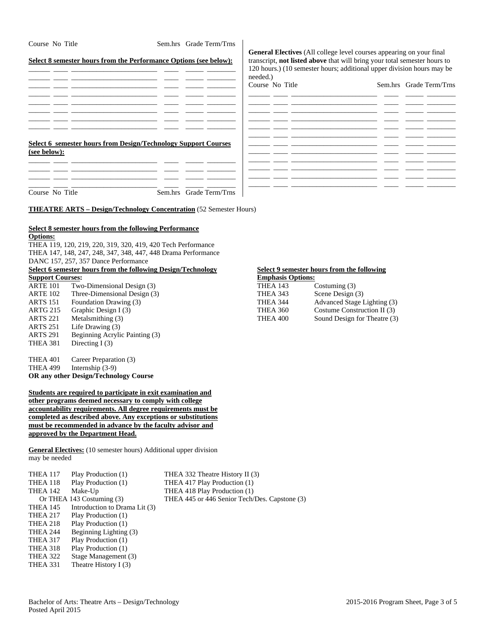| Course No Title                    |                                                               | Sem.hrs Grade Term/Trns                                                   |                                    |                                                                                                                                                          |                         |
|------------------------------------|---------------------------------------------------------------|---------------------------------------------------------------------------|------------------------------------|----------------------------------------------------------------------------------------------------------------------------------------------------------|-------------------------|
|                                    |                                                               | Select 8 semester hours from the Performance Options (see below):         |                                    | <b>General Electives</b> (All college level courses appearing on your final<br>transcript, not listed above that will bring your total semester hours to |                         |
|                                    |                                                               |                                                                           |                                    | 120 hours.) (10 semester hours; additional upper division hours may be                                                                                   |                         |
|                                    |                                                               |                                                                           | needed.)                           |                                                                                                                                                          |                         |
|                                    |                                                               |                                                                           | Course No Title                    |                                                                                                                                                          | Sem.hrs Grade Term/Trns |
|                                    |                                                               |                                                                           |                                    |                                                                                                                                                          |                         |
|                                    |                                                               |                                                                           |                                    |                                                                                                                                                          |                         |
|                                    |                                                               |                                                                           |                                    |                                                                                                                                                          |                         |
|                                    |                                                               |                                                                           |                                    |                                                                                                                                                          |                         |
|                                    |                                                               |                                                                           |                                    |                                                                                                                                                          |                         |
|                                    |                                                               | Select 6 semester hours from Design/Technology Support Courses            |                                    |                                                                                                                                                          |                         |
| (see below):                       |                                                               |                                                                           |                                    |                                                                                                                                                          |                         |
|                                    |                                                               |                                                                           |                                    |                                                                                                                                                          |                         |
|                                    |                                                               |                                                                           |                                    |                                                                                                                                                          |                         |
|                                    |                                                               |                                                                           |                                    |                                                                                                                                                          |                         |
| Course No Title                    |                                                               | Sem.hrs Grade Term/Trns                                                   |                                    |                                                                                                                                                          |                         |
|                                    |                                                               | <b>THEATRE ARTS – Design/Technology Concentration</b> (52 Semester Hours) |                                    |                                                                                                                                                          |                         |
|                                    |                                                               |                                                                           |                                    |                                                                                                                                                          |                         |
|                                    | Select 8 semester hours from the following Performance        |                                                                           |                                    |                                                                                                                                                          |                         |
| <b>Options:</b>                    |                                                               |                                                                           |                                    |                                                                                                                                                          |                         |
|                                    | THEA 119, 120, 219, 220, 319, 320, 419, 420 Tech Performance  |                                                                           |                                    |                                                                                                                                                          |                         |
|                                    | THEA 147, 148, 247, 248, 347, 348, 447, 448 Drama Performance |                                                                           |                                    |                                                                                                                                                          |                         |
|                                    | DANC 157, 257, 357 Dance Performance                          |                                                                           |                                    |                                                                                                                                                          |                         |
|                                    | Select 6 semester hours from the following Design/Technology  |                                                                           |                                    | Select 9 semester hours from the following                                                                                                               |                         |
| <b>Support Courses:</b>            |                                                               |                                                                           | <b>Emphasis Options:</b>           |                                                                                                                                                          |                         |
| <b>ARTE 101</b><br><b>ARTE 102</b> | Two-Dimensional Design (3)<br>Three-Dimensional Design (3)    |                                                                           | <b>THEA 143</b><br><b>THEA 343</b> | Costuming (3)                                                                                                                                            |                         |
| <b>ARTS 151</b>                    | Foundation Drawing (3)                                        |                                                                           | <b>THEA 344</b>                    | Scene Design (3)<br>Advanced Stage Lighting (3)                                                                                                          |                         |
| <b>ARTG 215</b>                    | Graphic Design I (3)                                          |                                                                           | <b>THEA 360</b>                    | Costume Construction II (3)                                                                                                                              |                         |

| THEA 401        | Career Preparation (3)                                        |
|-----------------|---------------------------------------------------------------|
| <b>THEA 499</b> | Internship $(3-9)$                                            |
|                 | OR any other Design/Technology Course                         |
|                 |                                                               |
|                 | Students are required to participate in exit examination and  |
|                 | other programs deemed necessary to comply with college        |
|                 | accountability requirements. All degree requirements must be  |
|                 | completed as described above. Any exceptions or substitutions |
|                 | must be recommended in advance by the faculty advisor and     |

**approved by the Department Head. General Electives:** (10 semester hours) Additional upper division

may be needed

ARTS 251 Life Drawing (3)

THEA 381 Directing I (3)

ARTS 291 Beginning Acrylic Painting (3)

| <b>THEA 117</b> | Play Production (1)           | THEA 332 Theatre History II (3)               |
|-----------------|-------------------------------|-----------------------------------------------|
| THEA 118        | Play Production (1)           | THEA 417 Play Production (1)                  |
| <b>THEA 142</b> | Make-Up                       | THEA 418 Play Production (1)                  |
|                 | Or THEA 143 Costuming (3)     | THEA 445 or 446 Senior Tech/Des. Capstone (3) |
| <b>THEA 145</b> | Introduction to Drama Lit (3) |                                               |
| <b>THEA 217</b> | Play Production (1)           |                                               |
| THEA 218        | Play Production (1)           |                                               |
| <b>THEA 244</b> | Beginning Lighting (3)        |                                               |
| THEA 317        | Play Production (1)           |                                               |
| THEA 318        | Play Production (1)           |                                               |
| THEA 322        | Stage Management (3)          |                                               |
| <b>THEA 331</b> | Theatre History I (3)         |                                               |
|                 |                               |                                               |

ARTG 215 Graphic Design I (3) THEA 360<br>ARTS 221 Metalsmithing (3) THEA 400

Sound Design for Theatre (3)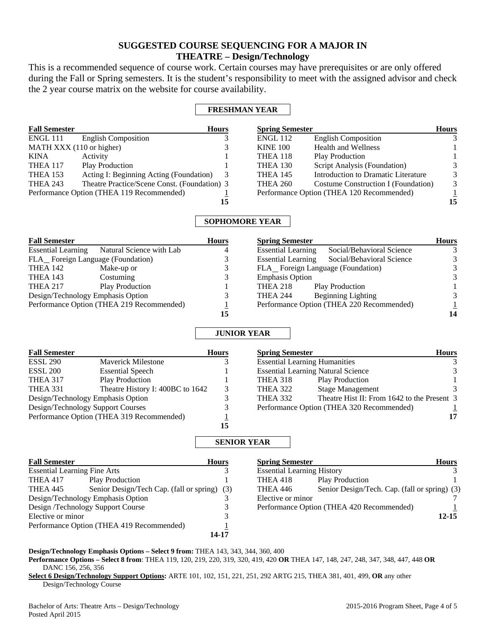# **SUGGESTED COURSE SEQUENCING FOR A MAJOR IN THEATRE – Design/Technology**

This is a recommended sequence of course work. Certain courses may have prerequisites or are only offered during the Fall or Spring semesters. It is the student's responsibility to meet with the assigned advisor and check the 2 year course matrix on the website for course availability.

# **FRESHMAN YEAR**

| <b>Fall Semester</b>     |                                              | <b>Hours</b> | <b>Spring Semester</b> |                                           | <b>Hours</b> |
|--------------------------|----------------------------------------------|--------------|------------------------|-------------------------------------------|--------------|
| ENGL 111                 | <b>English Composition</b>                   |              | <b>ENGL 112</b>        | <b>English Composition</b>                | 3            |
| MATH XXX (110 or higher) |                                              |              | <b>KINE 100</b>        | <b>Health and Wellness</b>                |              |
| <b>KINA</b>              | Activity                                     |              | THEA 118               | <b>Play Production</b>                    |              |
| THEA 117                 | <b>Play Production</b>                       |              | THEA 130               | Script Analysis (Foundation)              | 3            |
| <b>THEA 153</b>          | Acting I: Beginning Acting (Foundation)      | 3            | <b>THEA 145</b>        | Introduction to Dramatic Literature       | 3            |
| <b>THEA 243</b>          | Theatre Practice/Scene Const. (Foundation) 3 |              | <b>THEA 260</b>        | Costume Construction I (Foundation)       | 3            |
|                          | Performance Option (THEA 119 Recommended)    |              |                        | Performance Option (THEA 120 Recommended) |              |
|                          |                                              | 15           |                        |                                           | 15           |

# **SOPHOMORE YEAR**

| <b>Fall Semester</b>                      |                          | <b>Hours</b> | <b>Spring Semester</b>                                 | <b>Hours</b>  |
|-------------------------------------------|--------------------------|--------------|--------------------------------------------------------|---------------|
| <b>Essential Learning</b>                 | Natural Science with Lab | 4            | Social/Behavioral Science<br><b>Essential Learning</b> |               |
| FLA_Foreign Language (Foundation)         |                          |              | Social/Behavioral Science<br><b>Essential Learning</b> |               |
| THEA 142                                  | Make-up or               |              | FLA_Foreign Language (Foundation)                      |               |
| <b>THEA 143</b>                           | Costuming                |              | <b>Emphasis Option</b>                                 | $\mathcal{F}$ |
| <b>THEA 217</b>                           | <b>Play Production</b>   |              | THEA 218<br><b>Play Production</b>                     |               |
| Design/Technology Emphasis Option         |                          |              | Beginning Lighting<br><b>THEA 244</b>                  |               |
| Performance Option (THEA 219 Recommended) |                          |              | Performance Option (THEA 220 Recommended)              |               |
|                                           |                          |              |                                                        | 14            |

# **JUNIOR YEAR**

| <b>Fall Semester</b>                      |                                  | <b>Hours</b> | <b>Spring Semester</b>                    |                                             | <b>Hours</b> |
|-------------------------------------------|----------------------------------|--------------|-------------------------------------------|---------------------------------------------|--------------|
| <b>ESSL 290</b>                           | <b>Maverick Milestone</b>        |              | <b>Essential Learning Humanities</b>      |                                             | 3            |
| <b>ESSL 200</b>                           | <b>Essential Speech</b>          |              | <b>Essential Learning Natural Science</b> |                                             | 3            |
| <b>THEA 317</b>                           | <b>Play Production</b>           |              | THEA 318                                  | <b>Play Production</b>                      |              |
| <b>THEA 331</b>                           | Theatre History I: 400BC to 1642 | 3            | <b>THEA 322</b>                           | <b>Stage Management</b>                     | 3            |
| Design/Technology Emphasis Option         |                                  |              | <b>THEA 332</b>                           | Theatre Hist II: From 1642 to the Present 3 |              |
| Design/Technology Support Courses         |                                  |              |                                           | Performance Option (THEA 320 Recommended)   |              |
| Performance Option (THEA 319 Recommended) |                                  |              |                                           |                                             | 17           |
|                                           |                                  | 15           |                                           |                                             |              |

## **SENIOR YEAR**

| <b>Fall Semester</b>                      |                                              | <b>Hours</b> | <b>Spring Semester</b>            |                                               | <b>Hours</b> |
|-------------------------------------------|----------------------------------------------|--------------|-----------------------------------|-----------------------------------------------|--------------|
| <b>Essential Learning Fine Arts</b>       |                                              |              | <b>Essential Learning History</b> |                                               |              |
| <b>THEA 417</b>                           | <b>Play Production</b>                       |              | THEA 418                          | <b>Play Production</b>                        |              |
| <b>THEA 445</b>                           | Senior Design/Tech Cap. (fall or spring) (3) |              | THEA 446                          | Senior Design/Tech. Cap. (fall or spring) (3) |              |
|                                           | Design/Technology Emphasis Option            |              | Elective or minor                 |                                               |              |
| Design /Technology Support Course         |                                              |              |                                   | Performance Option (THEA 420 Recommended)     |              |
| Elective or minor                         |                                              |              |                                   |                                               | 12-15        |
| Performance Option (THEA 419 Recommended) |                                              |              |                                   |                                               |              |
|                                           |                                              | 14-17        |                                   |                                               |              |

## **Design/Technology Emphasis Options – Select 9 from:** THEA 143, 343, 344, 360, 400

**Performance Options – Select 8 from**: THEA 119, 120, 219, 220, 319, 320, 419, 420 **OR** THEA 147, 148, 247, 248, 347, 348, 447, 448 **OR** DANC 156, 256, 356

**Select 6 Design/Technology Support Options:** ARTE 101, 102, 151, 221, 251, 292 ARTG 215, THEA 381, 401, 499, **OR** any other Design/Technology Course